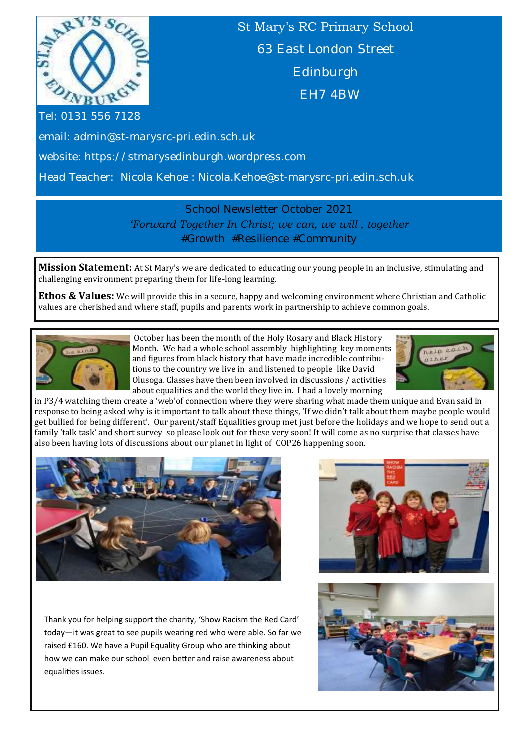

St Mary's RC Primary School 63 East London Street Edinburgh EH7 4BW

Tel: 0131 556 7128

email: admin@st-marysrc-pri.edin.sch.uk

website: https://stmarysedinburgh.wordpress.com

Head Teacher: Nicola Kehoe : Nicola.Kehoe@st-marysrc-pri.edin.sch.uk

School Newsletter October 2021 *'Forward Together In Christ; we can, we will , together #Growth #Resilience #Community*

**Mission Statement:** At St Mary's we are dedicated to educating our young people in an inclusive, stimulating and challenging environment preparing them for life-long learning.

**Ethos & Values:** We will provide this in a secure, happy and welcoming environment where Christian and Catholic values are cherished and where staff, pupils and parents work in partnership to achieve common goals.



October has been the month of the Holy Rosary and Black History Month. We had a whole school assembly highlighting key moments and figures from black history that have made incredible contributions to the country we live in and listened to people like David Olusoga. Classes have then been involved in discussions / activities about equalities and the world they live in. I had a lovely morning



in P3/4 watching them create a 'web'of connection where they were sharing what made them unique and Evan said in response to being asked why is it important to talk about these things, 'If we didn't talk about them maybe people would get bullied for being different'. Our parent/staff Equalities group met just before the holidays and we hope to send out a family 'talk task' and short survey so please look out for these very soon! It will come as no surprise that classes have also been having lots of discussions about our planet in light of COP26 happening soon.



Thank you for helping support the charity, 'Show Racism the Red Card' today—it was great to see pupils wearing red who were able. So far we raised £160. We have a Pupil Equality Group who are thinking about how we can make our school even better and raise awareness about equalities issues.



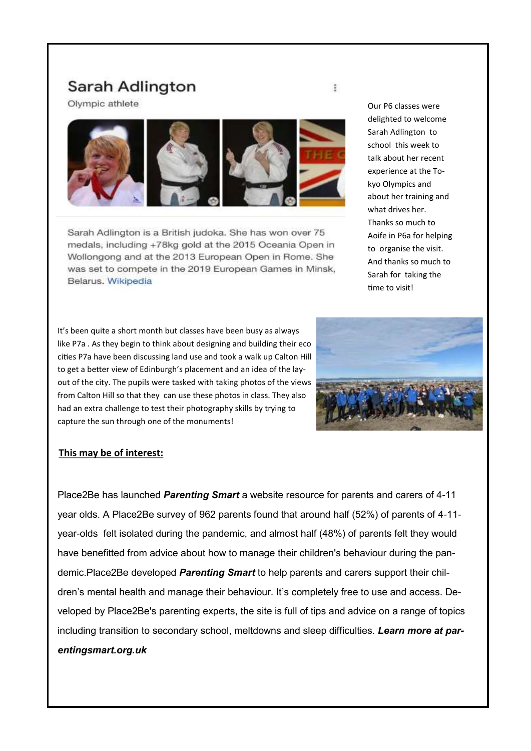# Sarah Adlington

Olympic athlete



Sarah Adlington is a British judoka. She has won over 75 medals, including +78kg gold at the 2015 Oceania Open in Wollongong and at the 2013 European Open in Rome. She Relarus. Wikipedia<br>Belarus. Wikipedia

It's been quite a short month but classes have been busy as always like P7a . As they begin to think about designing and building their eco cities P7a have been discussing land use and took a walk up Calton Hill to get a better view of Edinburgh's placement and an idea of the layout of the city. The pupils were tasked with taking photos of the views from Calton Hill so that they can use these photos in class. They also had an extra challenge to test their photography skills by trying to capture the sun through one of the monuments!

Our P6 classes were delighted to welcome Sarah Adlington to school this week to talk about her recent experience at the Tokyo Olympics and about her training and what drives her. Thanks so much to Aoife in P6a for helping to organise the visit. And thanks so much to Sarah for taking the time to visit!



#### **This may be of interest:**

Place2Be has launched *Parenting Smart* a website resource for parents and carers of 4-11 year olds. A Place2Be survey of 962 parents found that around half (52%) of parents of 4-11 year-olds felt isolated during the pandemic, and almost half (48%) of parents felt they would have benefitted from advice about how to manage their children's behaviour during the pandemic.Place2Be developed *Parenting Smart* to help parents and carers support their children's mental health and manage their behaviour. It's completely free to use and access. Developed by Place2Be's parenting experts, the site is full of tips and advice on a range of topics including transition to secondary school, meltdowns and sleep difficulties. *Learn more at parentingsmart.org.uk*

÷